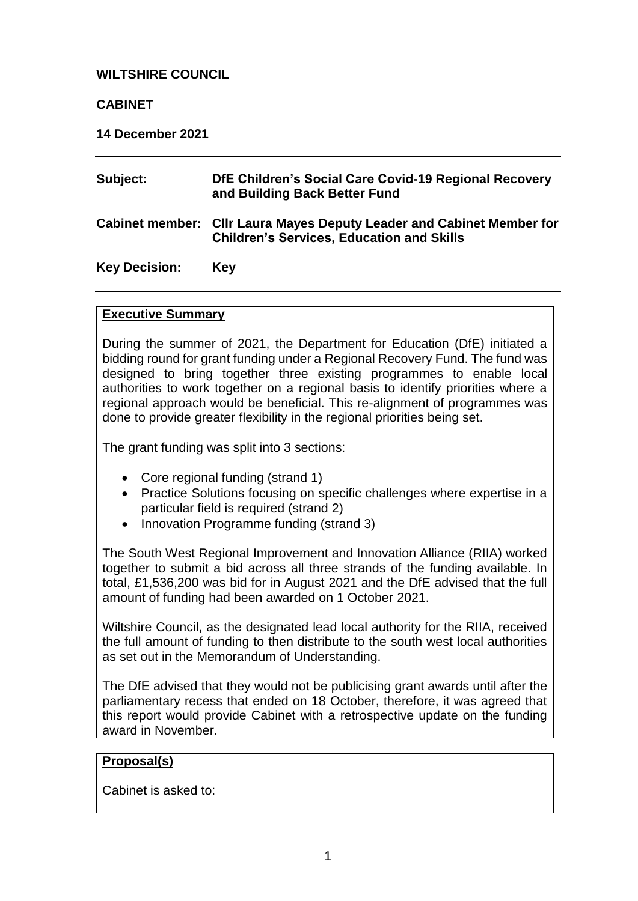## **WILTSHIRE COUNCIL**

## **CABINET**

**14 December 2021** 

| Subject:             | DfE Children's Social Care Covid-19 Regional Recovery<br>and Building Back Better Fund                                    |
|----------------------|---------------------------------------------------------------------------------------------------------------------------|
|                      | Cabinet member: Cllr Laura Mayes Deputy Leader and Cabinet Member for<br><b>Children's Services, Education and Skills</b> |
| <b>Key Decision:</b> | Kev                                                                                                                       |

## **Executive Summary**

During the summer of 2021, the Department for Education (DfE) initiated a bidding round for grant funding under a Regional Recovery Fund. The fund was designed to bring together three existing programmes to enable local authorities to work together on a regional basis to identify priorities where a regional approach would be beneficial. This re-alignment of programmes was done to provide greater flexibility in the regional priorities being set.

The grant funding was split into 3 sections:

- Core regional funding (strand 1)
- Practice Solutions focusing on specific challenges where expertise in a particular field is required (strand 2)
- Innovation Programme funding (strand 3)

The South West Regional Improvement and Innovation Alliance (RIIA) worked together to submit a bid across all three strands of the funding available. In total, £1,536,200 was bid for in August 2021 and the DfE advised that the full amount of funding had been awarded on 1 October 2021.

Wiltshire Council, as the designated lead local authority for the RIIA, received the full amount of funding to then distribute to the south west local authorities as set out in the Memorandum of Understanding.

The DfE advised that they would not be publicising grant awards until after the parliamentary recess that ended on 18 October, therefore, it was agreed that this report would provide Cabinet with a retrospective update on the funding award in November.

# **Proposal(s)**

Cabinet is asked to: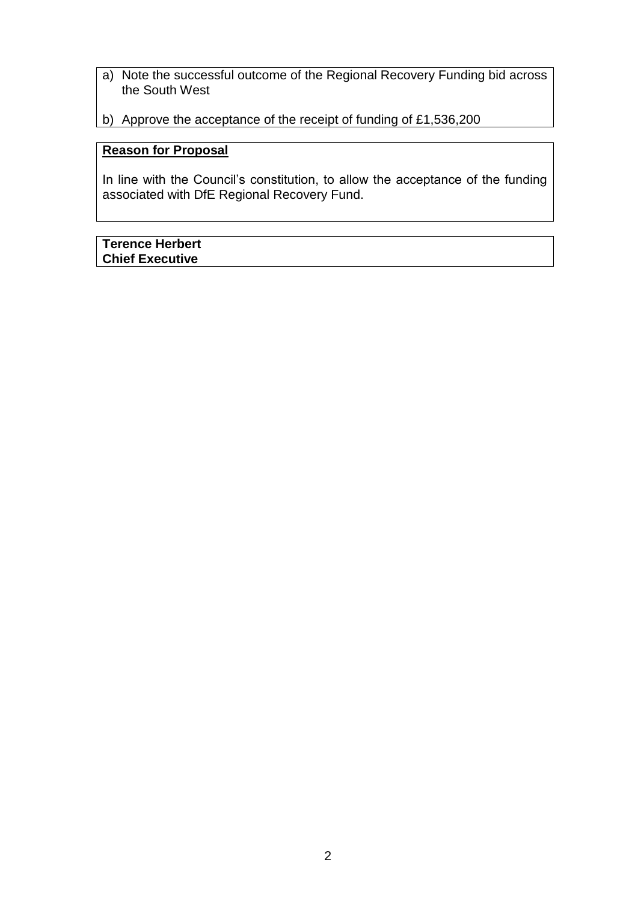- a) Note the successful outcome of the Regional Recovery Funding bid across the South West
- b) Approve the acceptance of the receipt of funding of £1,536,200

# **Reason for Proposal**

In line with the Council's constitution, to allow the acceptance of the funding associated with DfE Regional Recovery Fund.

## **Terence Herbert Chief Executive**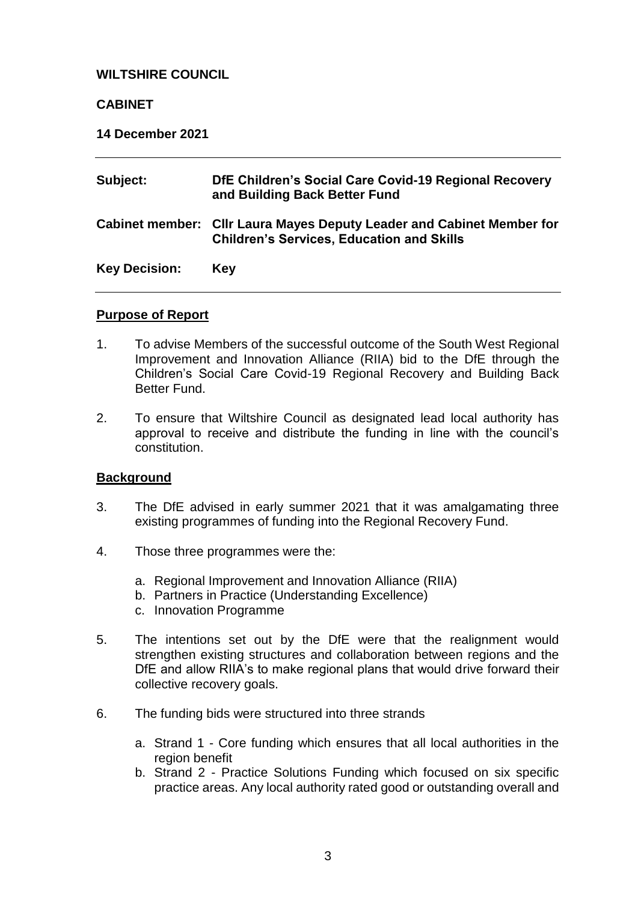#### **WILTSHIRE COUNCIL**

#### **CABINET**

**14 December 2021**

| Subject:             | DfE Children's Social Care Covid-19 Regional Recovery<br>and Building Back Better Fund                                    |
|----------------------|---------------------------------------------------------------------------------------------------------------------------|
|                      | Cabinet member: Cllr Laura Mayes Deputy Leader and Cabinet Member for<br><b>Children's Services, Education and Skills</b> |
| <b>Key Decision:</b> | <b>Key</b>                                                                                                                |

#### **Purpose of Report**

- 1. To advise Members of the successful outcome of the South West Regional Improvement and Innovation Alliance (RIIA) bid to the DfE through the Children's Social Care Covid-19 Regional Recovery and Building Back Better Fund.
- 2. To ensure that Wiltshire Council as designated lead local authority has approval to receive and distribute the funding in line with the council's constitution.

#### **Background**

- 3. The DfE advised in early summer 2021 that it was amalgamating three existing programmes of funding into the Regional Recovery Fund.
- 4. Those three programmes were the:
	- a. Regional Improvement and Innovation Alliance (RIIA)
	- b. Partners in Practice (Understanding Excellence)
	- c. Innovation Programme
- 5. The intentions set out by the DfE were that the realignment would strengthen existing structures and collaboration between regions and the DfE and allow RIIA's to make regional plans that would drive forward their collective recovery goals.
- 6. The funding bids were structured into three strands
	- a. Strand 1 Core funding which ensures that all local authorities in the region benefit
	- b. Strand 2 Practice Solutions Funding which focused on six specific practice areas. Any local authority rated good or outstanding overall and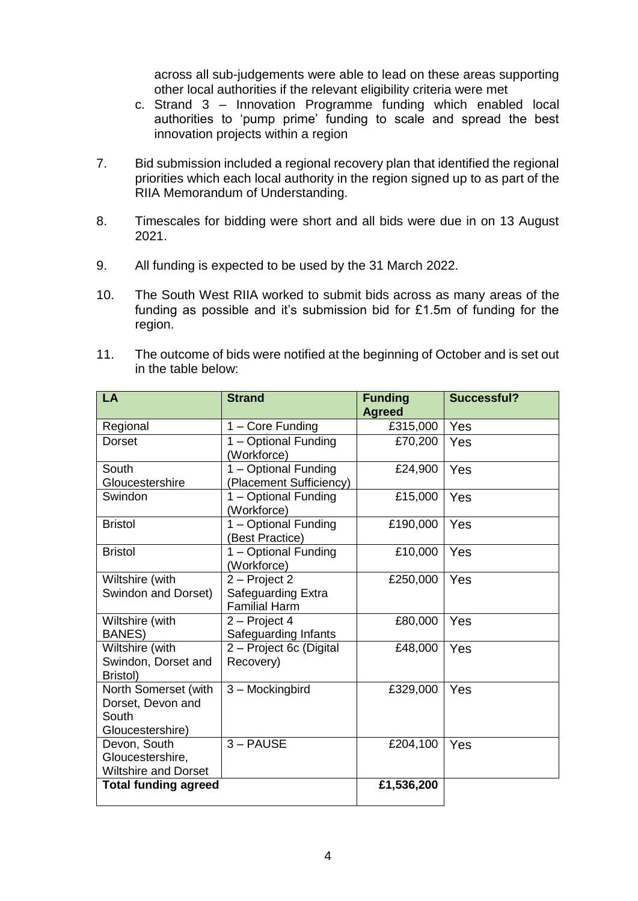across all sub-judgements were able to lead on these areas supporting other local authorities if the relevant eligibility criteria were met

- c. Strand 3 Innovation Programme funding which enabled local authorities to 'pump prime' funding to scale and spread the best innovation projects within a region
- 7. Bid submission included a regional recovery plan that identified the regional priorities which each local authority in the region signed up to as part of the RIIA Memorandum of Understanding.
- 8. Timescales for bidding were short and all bids were due in on 13 August 2021.
- 9. All funding is expected to be used by the 31 March 2022.
- 10. The South West RIIA worked to submit bids across as many areas of the funding as possible and it's submission bid for £1.5m of funding for the region.
- 11. The outcome of bids were notified at the beginning of October and is set out in the table below:

| LA                          | <b>Strand</b>           | <b>Funding</b> | <b>Successful?</b> |
|-----------------------------|-------------------------|----------------|--------------------|
|                             |                         | <b>Agreed</b>  |                    |
| Regional                    | 1 - Core Funding        | £315,000       | Yes                |
| <b>Dorset</b>               | 1 - Optional Funding    | £70,200        | Yes                |
|                             | (Workforce)             |                |                    |
| South                       | 1 - Optional Funding    | £24,900        | Yes                |
| Gloucestershire             | (Placement Sufficiency) |                |                    |
| Swindon                     | 1 - Optional Funding    | £15,000        | Yes                |
|                             | (Workforce)             |                |                    |
| <b>Bristol</b>              | 1 - Optional Funding    | £190,000       | Yes                |
|                             | (Best Practice)         |                |                    |
| <b>Bristol</b>              | 1 – Optional Funding    | £10,000        | Yes                |
|                             | (Workforce)             |                |                    |
| Wiltshire (with             | 2 - Project 2           | £250,000       | Yes                |
| Swindon and Dorset)         | Safeguarding Extra      |                |                    |
|                             | <b>Familial Harm</b>    |                |                    |
| Wiltshire (with             | 2 - Project 4           | £80,000        | Yes                |
| <b>BANES)</b>               | Safeguarding Infants    |                |                    |
| Wiltshire (with             | 2 - Project 6c (Digital | £48,000        | Yes                |
| Swindon, Dorset and         | Recovery)               |                |                    |
| Bristol)                    |                         |                |                    |
| North Somerset (with        | 3 - Mockingbird         | £329,000       | Yes                |
| Dorset, Devon and           |                         |                |                    |
| South                       |                         |                |                    |
| Gloucestershire)            |                         |                |                    |
| Devon, South                | 3-PAUSE                 | £204,100       | Yes                |
| Gloucestershire,            |                         |                |                    |
| <b>Wiltshire and Dorset</b> |                         |                |                    |
| <b>Total funding agreed</b> |                         | £1,536,200     |                    |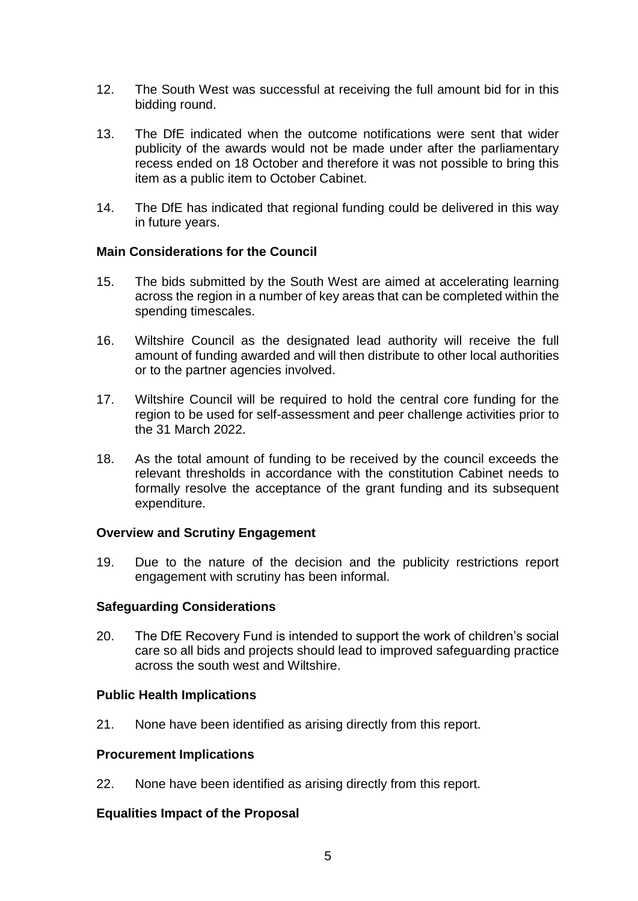- 12. The South West was successful at receiving the full amount bid for in this bidding round.
- 13. The DfE indicated when the outcome notifications were sent that wider publicity of the awards would not be made under after the parliamentary recess ended on 18 October and therefore it was not possible to bring this item as a public item to October Cabinet.
- 14. The DfE has indicated that regional funding could be delivered in this way in future years.

## **Main Considerations for the Council**

- 15. The bids submitted by the South West are aimed at accelerating learning across the region in a number of key areas that can be completed within the spending timescales.
- 16. Wiltshire Council as the designated lead authority will receive the full amount of funding awarded and will then distribute to other local authorities or to the partner agencies involved.
- 17. Wiltshire Council will be required to hold the central core funding for the region to be used for self-assessment and peer challenge activities prior to the 31 March 2022.
- 18. As the total amount of funding to be received by the council exceeds the relevant thresholds in accordance with the constitution Cabinet needs to formally resolve the acceptance of the grant funding and its subsequent expenditure.

## **Overview and Scrutiny Engagement**

19. Due to the nature of the decision and the publicity restrictions report engagement with scrutiny has been informal.

## **Safeguarding Considerations**

20. The DfE Recovery Fund is intended to support the work of children's social care so all bids and projects should lead to improved safeguarding practice across the south west and Wiltshire.

## **Public Health Implications**

21. None have been identified as arising directly from this report.

## **Procurement Implications**

22. None have been identified as arising directly from this report.

## **Equalities Impact of the Proposal**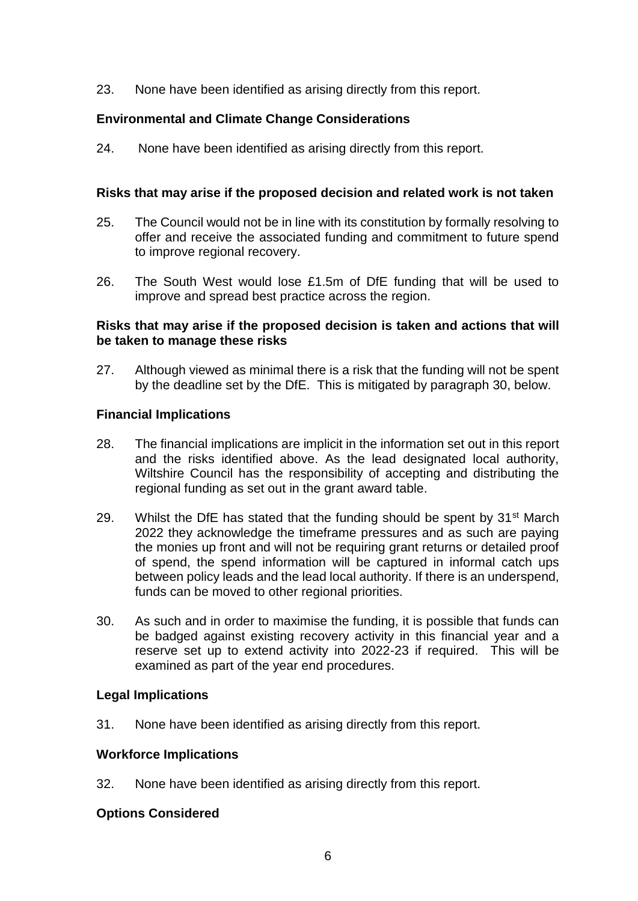23. None have been identified as arising directly from this report.

# **Environmental and Climate Change Considerations**

24. None have been identified as arising directly from this report.

#### **Risks that may arise if the proposed decision and related work is not taken**

- 25. The Council would not be in line with its constitution by formally resolving to offer and receive the associated funding and commitment to future spend to improve regional recovery.
- 26. The South West would lose £1.5m of DfE funding that will be used to improve and spread best practice across the region.

#### **Risks that may arise if the proposed decision is taken and actions that will be taken to manage these risks**

27. Although viewed as minimal there is a risk that the funding will not be spent by the deadline set by the DfE. This is mitigated by paragraph 30, below.

#### **Financial Implications**

- 28. The financial implications are implicit in the information set out in this report and the risks identified above. As the lead designated local authority, Wiltshire Council has the responsibility of accepting and distributing the regional funding as set out in the grant award table.
- 29. Whilst the DfE has stated that the funding should be spent by  $31<sup>st</sup>$  March 2022 they acknowledge the timeframe pressures and as such are paying the monies up front and will not be requiring grant returns or detailed proof of spend, the spend information will be captured in informal catch ups between policy leads and the lead local authority. If there is an underspend, funds can be moved to other regional priorities.
- 30. As such and in order to maximise the funding, it is possible that funds can be badged against existing recovery activity in this financial year and a reserve set up to extend activity into 2022-23 if required. This will be examined as part of the year end procedures.

## **Legal Implications**

31. None have been identified as arising directly from this report.

## **Workforce Implications**

32. None have been identified as arising directly from this report.

#### **Options Considered**